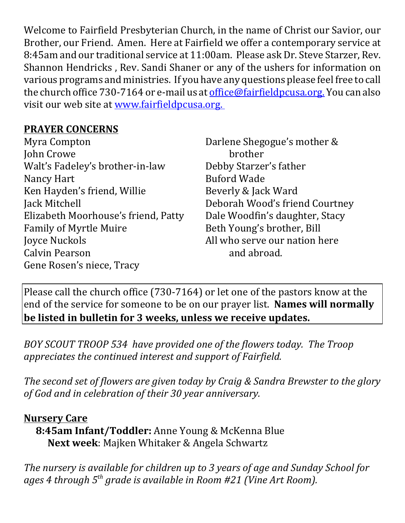Welcome to Fairfield Presbyterian Church, in the name of Christ our Savior, our Brother, our Friend. Amen. Here at Fairfield we offer a contemporary service at 8:45am and our traditional service at 11:00am. Please ask Dr. Steve Starzer, Rev. Shannon Hendricks , Rev. Sandi Shaner or any of the ushers for information on various programs and ministries. If you have any questions please feel free to call the church office 730-7164 or e-mail us at office@fairfieldpcusa.org. You can also visit our web site at www.fairfieldpcusa.org.

## **PRAYER CONCERNS**

| Myra Compton                        |
|-------------------------------------|
| John Crowe                          |
| Walt's Fadeley's brother-in-law     |
| Nancy Hart                          |
| Ken Hayden's friend, Willie         |
| Jack Mitchell                       |
| Elizabeth Moorhouse's friend, Patty |
| <b>Family of Myrtle Muire</b>       |
| Joyce Nuckols                       |
| Calvin Pearson                      |
| Gene Rosen's niece, Tracy           |

Darlene Shegogue's mother & brother Debby Starzer's father Buford Wade Beverly & Jack Ward Deborah Wood's friend Courtney Dale Woodfin's daughter, Stacy Beth Young's brother, Bill All who serve our nation here and abroad.

Please call the church office (730-7164) or let one of the pastors know at the end of the service for someone to be on our prayer list. **Names will normally be listed in bulletin for 3 weeks, unless we receive updates.**

*BOY SCOUT TROOP 534 have provided one of the flowers today. The Troop appreciates the continued interest and support of Fairfield.*

*The second set of flowers are given today by Craig & Sandra Brewster to the glory of God and in celebration of their 30 year anniversary.*

## **Nursery Care**

**8:45am Infant/Toddler:** Anne Young & McKenna Blue **Next week**: Majken Whitaker & Angela Schwartz

*The nursery is available for children up to 3 years of age and Sunday School for ages 4 through 5th grade is available in Room #21 (Vine Art Room).*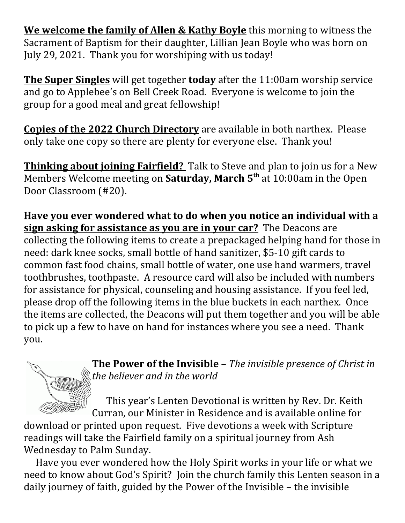**We welcome the family of Allen & Kathy Boyle** this morning to witness the Sacrament of Baptism for their daughter, Lillian Jean Boyle who was born on July 29, 2021. Thank you for worshiping with us today!

**The Super Singles** will get together **today** after the 11:00am worship service and go to Applebee's on Bell Creek Road. Everyone is welcome to join the group for a good meal and great fellowship!

**Copies of the 2022 Church Directory** are available in both narthex. Please only take one copy so there are plenty for everyone else. Thank you!

**Thinking about joining Fairfield?** Talk to Steve and plan to join us for a New Members Welcome meeting on **Saturday, March 5th** at 10:00am in the Open Door Classroom (#20).

**Have you ever wondered what to do when you notice an individual with a sign asking for assistance as you are in your car?** The Deacons are collecting the following items to create a prepackaged helping hand for those in need: dark knee socks, small bottle of hand sanitizer, \$5-10 gift cards to common fast food chains, small bottle of water, one use hand warmers, travel toothbrushes, toothpaste. A resource card will also be included with numbers for assistance for physical, counseling and housing assistance. If you feel led, please drop off the following items in the blue buckets in each narthex. Once the items are collected, the Deacons will put them together and you will be able to pick up a few to have on hand for instances where you see a need. Thank you.

**The Power of the Invisible** – *The invisible presence of Christ in the believer and in the world*

 This year's Lenten Devotional is written by Rev. Dr. Keith Curran, our Minister in Residence and is available online for

download or printed upon request. Five devotions a week with Scripture readings will take the Fairfield family on a spiritual journey from Ash Wednesday to Palm Sunday.

Have you ever wondered how the Holy Spirit works in your life or what we need to know about God's Spirit? Join the church family this Lenten season in a daily journey of faith, guided by the Power of the Invisible – the invisible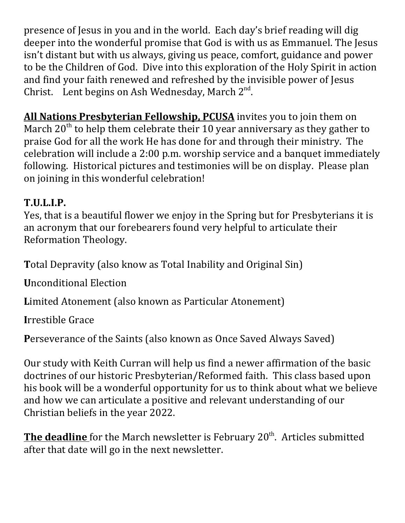presence of Jesus in you and in the world. Each day's brief reading will dig deeper into the wonderful promise that God is with us as Emmanuel. The Jesus isn't distant but with us always, giving us peace, comfort, guidance and power to be the Children of God. Dive into this exploration of the Holy Spirit in action and find your faith renewed and refreshed by the invisible power of Jesus Christ. Lent begins on Ash Wednesday, March  $2^{nd}$ .

**All Nations Presbyterian Fellowship, PCUSA** invites you to join them on March  $20<sup>th</sup>$  to help them celebrate their 10 year anniversary as they gather to praise God for all the work He has done for and through their ministry. The celebration will include a 2:00 p.m. worship service and a banquet immediately following. Historical pictures and testimonies will be on display. Please plan on joining in this wonderful celebration!

## **T.U.L.I.P.**

Yes, that is a beautiful flower we enjoy in the Spring but for Presbyterians it is an acronym that our forebearers found very helpful to articulate their Reformation Theology.

**T**otal Depravity (also know as Total Inability and Original Sin)

**U**nconditional Election

**L**imited Atonement (also known as Particular Atonement)

**I**rrestible Grace

**P**erseverance of the Saints (also known as Once Saved Always Saved)

Our study with Keith Curran will help us find a newer affirmation of the basic doctrines of our historic Presbyterian/Reformed faith. This class based upon his book will be a wonderful opportunity for us to think about what we believe and how we can articulate a positive and relevant understanding of our Christian beliefs in the year 2022.

**The deadline** for the March newsletter is February 20<sup>th</sup>. Articles submitted after that date will go in the next newsletter.